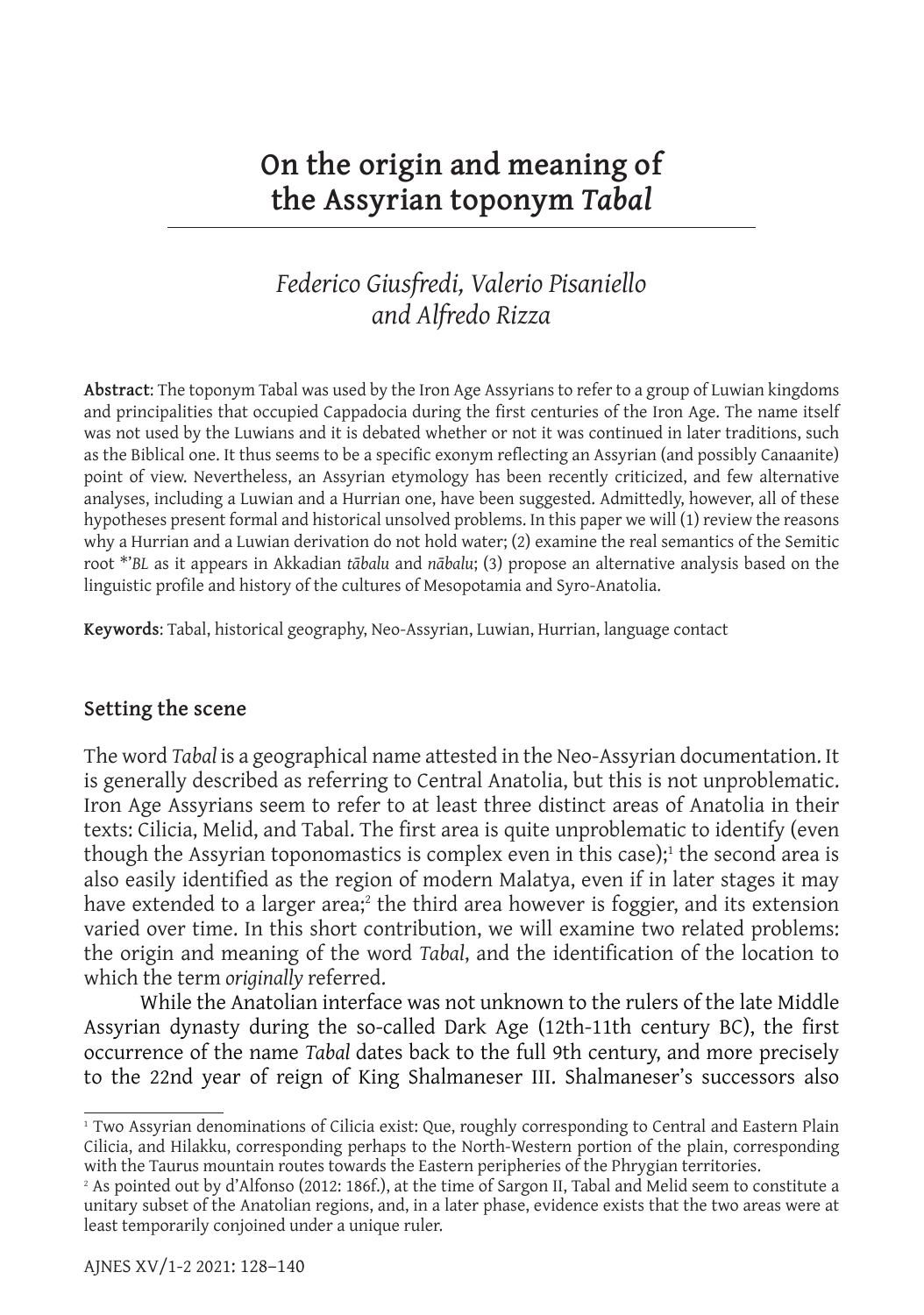# **On the origin and meaning of the Assyrian toponym** *Tabal*

# *Federico Giusfredi, Valerio Pisaniello and Alfredo Rizza*

**Abstract**: The toponym Tabal was used by the Iron Age Assyrians to refer to a group of Luwian kingdoms and principalities that occupied Cappadocia during the first centuries of the Iron Age. The name itself was not used by the Luwians and it is debated whether or not it was continued in later traditions, such as the Biblical one. It thus seems to be a specific exonym reflecting an Assyrian (and possibly Canaanite) point of view. Nevertheless, an Assyrian etymology has been recently criticized, and few alternative analyses, including a Luwian and a Hurrian one, have been suggested. Admittedly, however, all of these hypotheses present formal and historical unsolved problems. In this paper we will (1) review the reasons why a Hurrian and a Luwian derivation do not hold water; (2) examine the real semantics of the Semitic root \*'*BL* as it appears in Akkadian *tābalu* and *nābalu*; (3) propose an alternative analysis based on the linguistic profile and history of the cultures of Mesopotamia and Syro-Anatolia.

**Keywords**: Tabal, historical geography, Neo-Assyrian, Luwian, Hurrian, language contact

## **Setting the scene**

The word *Tabal* is a geographical name attested in the Neo-Assyrian documentation. It is generally described as referring to Central Anatolia, but this is not unproblematic. Iron Age Assyrians seem to refer to at least three distinct areas of Anatolia in their texts: Cilicia, Melid, and Tabal. The first area is quite unproblematic to identify (even though the Assyrian toponomastics is complex even in this case);<sup>1</sup> the second area is also easily identified as the region of modern Malatya, even if in later stages it may have extended to a larger area;<sup>2</sup> the third area however is foggier, and its extension varied over time. In this short contribution, we will examine two related problems: the origin and meaning of the word *Tabal*, and the identification of the location to which the term *originally* referred.

While the Anatolian interface was not unknown to the rulers of the late Middle Assyrian dynasty during the so-called Dark Age (12th-11th century BC), the first occurrence of the name *Tabal* dates back to the full 9th century, and more precisely to the 22nd year of reign of King Shalmaneser III. Shalmaneser's successors also

<sup>&</sup>lt;sup>1</sup> Two Assyrian denominations of Cilicia exist: Que, roughly corresponding to Central and Eastern Plain Cilicia, and Hilakku, corresponding perhaps to the North-Western portion of the plain, corresponding with the Taurus mountain routes towards the Eastern peripheries of the Phrygian territories.

<sup>2</sup> As pointed out by d'Alfonso (2012: 186f.), at the time of Sargon II, Tabal and Melid seem to constitute a unitary subset of the Anatolian regions, and, in a later phase, evidence exists that the two areas were at least temporarily conjoined under a unique ruler.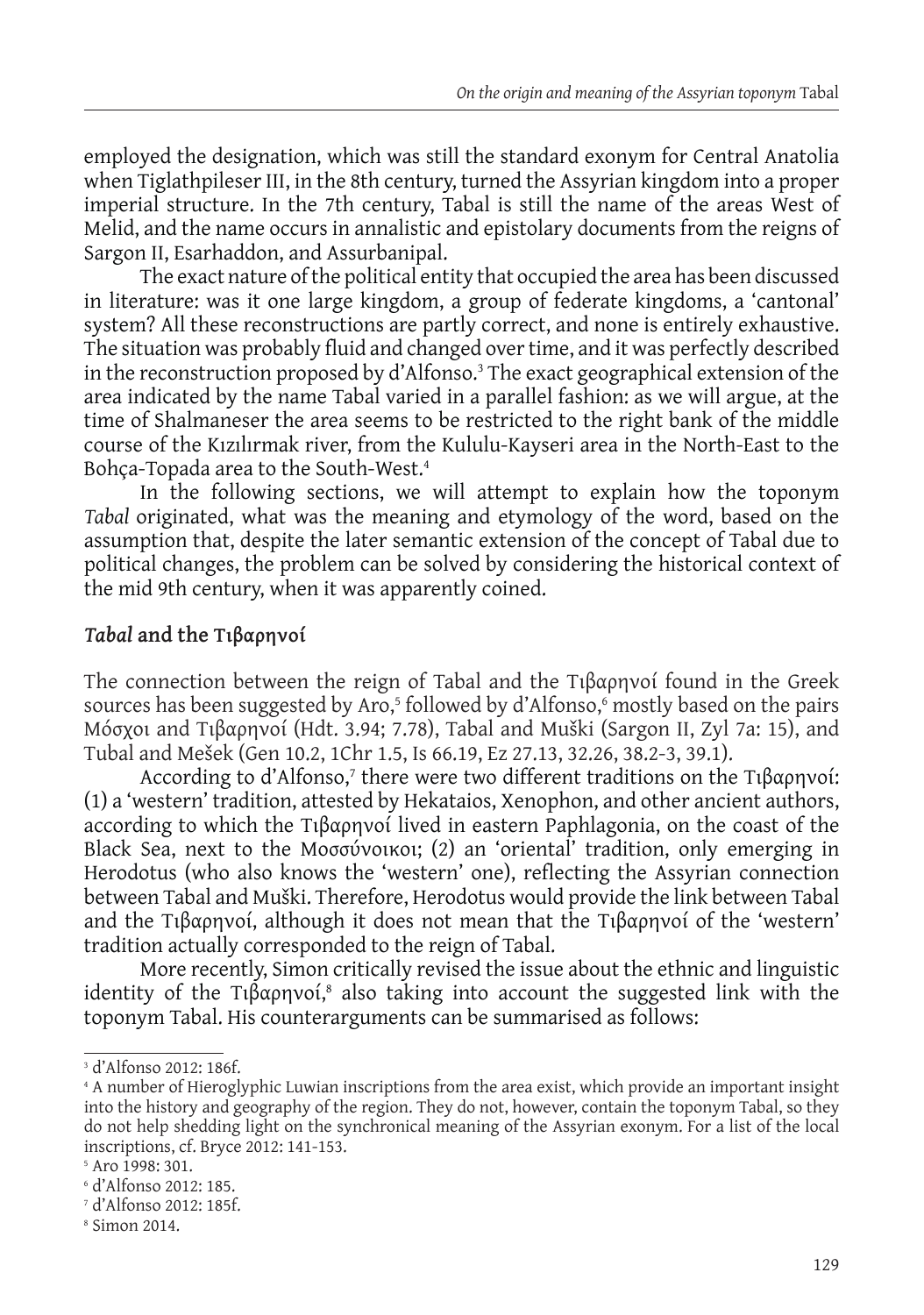employed the designation, which was still the standard exonym for Central Anatolia when Tiglathpileser III, in the 8th century, turned the Assyrian kingdom into a proper imperial structure. In the 7th century, Tabal is still the name of the areas West of Melid, and the name occurs in annalistic and epistolary documents from the reigns of Sargon II, Esarhaddon, and Assurbanipal.

The exact nature of the political entity that occupied the area has been discussed in literature: was it one large kingdom, a group of federate kingdoms, a 'cantonal' system? All these reconstructions are partly correct, and none is entirely exhaustive. The situation was probably fluid and changed over time, and it was perfectly described in the reconstruction proposed by d'Alfonso.<sup>3</sup> The exact geographical extension of the area indicated by the name Tabal varied in a parallel fashion: as we will argue, at the time of Shalmaneser the area seems to be restricted to the right bank of the middle course of the Kızılırmak river, from the Kululu-Kayseri area in the North-East to the Bohça-Topada area to the South-West.<sup>4</sup>

In the following sections, we will attempt to explain how the toponym *Tabal* originated, what was the meaning and etymology of the word, based on the assumption that, despite the later semantic extension of the concept of Tabal due to political changes, the problem can be solved by considering the historical context of the mid 9th century, when it was apparently coined.

# *Tabal* **and the Τιβαρηνοί**

The connection between the reign of Tabal and the Τιβαρηνοί found in the Greek sources has been suggested by Aro,<sup>5</sup> followed by d'Alfonso,6 mostly based on the pairs Μόσχοι and Τιβαρηνοί (Hdt. 3.94; 7.78), Tabal and Muški (Sargon II, Zyl 7a: 15), and Tubal and Mešek (Gen 10.2, 1Chr 1.5, Is 66.19, Ez 27.13, 32.26, 38.2-3, 39.1).

According to d'Alfonso,<sup>7</sup> there were two different traditions on the Τιβαρηνοί: (1) a 'western' tradition, attested by Hekataios, Xenophon, and other ancient authors, according to which the Τιβαρηνοί lived in eastern Paphlagonia, on the coast of the Black Sea, next to the Μοσσύνοικοι; (2) an 'oriental' tradition, only emerging in Herodotus (who also knows the 'western' one), reflecting the Assyrian connection between Tabal and Muški. Therefore, Herodotus would provide the link between Tabal and the Τιβαρηνοί, although it does not mean that the Τιβαρηνοί of the 'western' tradition actually corresponded to the reign of Tabal.

More recently, Simon critically revised the issue about the ethnic and linguistic identity of the Τιβαρηνοί,<sup>8</sup> also taking into account the suggested link with the toponym Tabal. His counterarguments can be summarised as follows:

<sup>3</sup> d'Alfonso 2012: 186f.

<sup>4</sup> A number of Hieroglyphic Luwian inscriptions from the area exist, which provide an important insight into the history and geography of the region. They do not, however, contain the toponym Tabal, so they do not help shedding light on the synchronical meaning of the Assyrian exonym. For a list of the local inscriptions, cf. Bryce 2012: 141-153.

<sup>5</sup> Aro 1998: 301.

<sup>6</sup> d'Alfonso 2012: 185.

<sup>7</sup> d'Alfonso 2012: 185f.

<sup>8</sup> Simon 2014.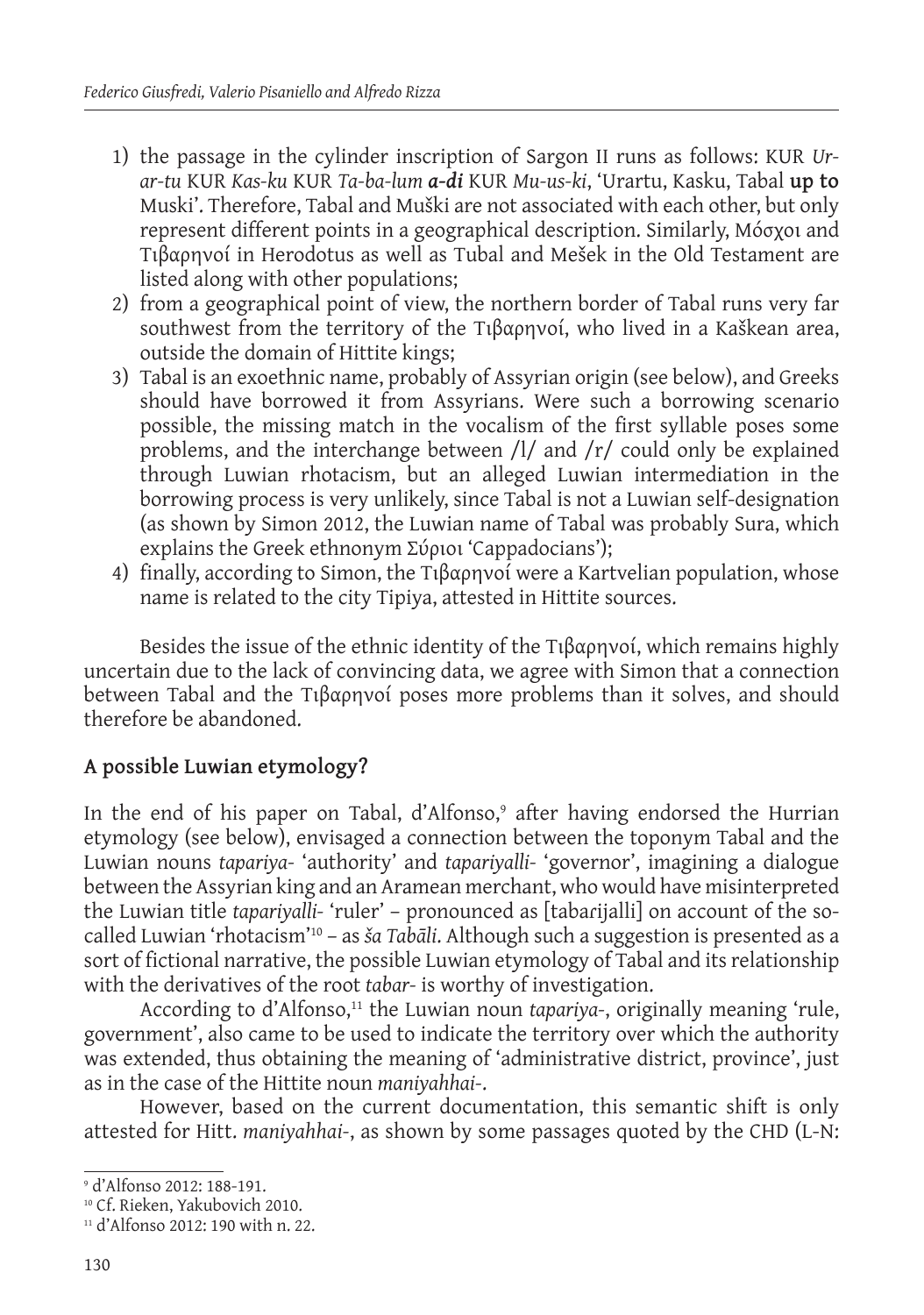- 1) the passage in the cylinder inscription of Sargon II runs as follows: KUR *Urar-tu* KUR *Kas-ku* KUR *Ta-ba-lum a-di* KUR *Mu-us-ki*, 'Urartu, Kasku, Tabal **up to** Muski'. Therefore, Tabal and Muški are not associated with each other, but only represent different points in a geographical description. Similarly, Μόσχοι and Τιβαρηνοί in Herodotus as well as Tubal and Mešek in the Old Testament are listed along with other populations;
- 2) from a geographical point of view, the northern border of Tabal runs very far southwest from the territory of the Τιβαρηνοί, who lived in a Kaškean area, outside the domain of Hittite kings;
- 3) Tabal is an exoethnic name, probably of Assyrian origin (see below), and Greeks should have borrowed it from Assyrians. Were such a borrowing scenario possible, the missing match in the vocalism of the first syllable poses some problems, and the interchange between /l/ and /r/ could only be explained through Luwian rhotacism, but an alleged Luwian intermediation in the borrowing process is very unlikely, since Tabal is not a Luwian self-designation (as shown by Simon 2012, the Luwian name of Tabal was probably Sura, which explains the Greek ethnonym Σύριοι 'Cappadocians');
- 4) finally, according to Simon, the Τιβαρηνοί were a Kartvelian population, whose name is related to the city Tipiya, attested in Hittite sources.

Besides the issue of the ethnic identity of the Τιβαρηνοί, which remains highly uncertain due to the lack of convincing data, we agree with Simon that a connection between Tabal and the Τιβαρηνοί poses more problems than it solves, and should therefore be abandoned.

# **A possible Luwian etymology?**

In the end of his paper on Tabal, d'Alfonso,° after having endorsed the Hurrian etymology (see below), envisaged a connection between the toponym Tabal and the Luwian nouns *tapariya-* 'authority' and *tapariyalli-* 'governor', imagining a dialogue between the Assyrian king and an Aramean merchant, who would have misinterpreted the Luwian title *tapariyalli-* 'ruler' – pronounced as [tabaɾijalli] on account of the socalled Luwian 'rhotacism'10 – as *ša Tabāli*. Although such a suggestion is presented as a sort of fictional narrative, the possible Luwian etymology of Tabal and its relationship with the derivatives of the root *tabar-* is worthy of investigation.

According to d'Alfonso,11 the Luwian noun *tapariya-*, originally meaning 'rule, government', also came to be used to indicate the territory over which the authority was extended, thus obtaining the meaning of 'administrative district, province', just as in the case of the Hittite noun *maniyahhai-*.

However, based on the current documentation, this semantic shift is only attested for Hitt. *maniyahhai-*, as shown by some passages quoted by the CHD (L-N:

<sup>9</sup> d'Alfonso 2012: 188-191.

<sup>10</sup> Cf. Rieken, Yakubovich 2010.

<sup>11</sup> d'Alfonso 2012: 190 with n. 22.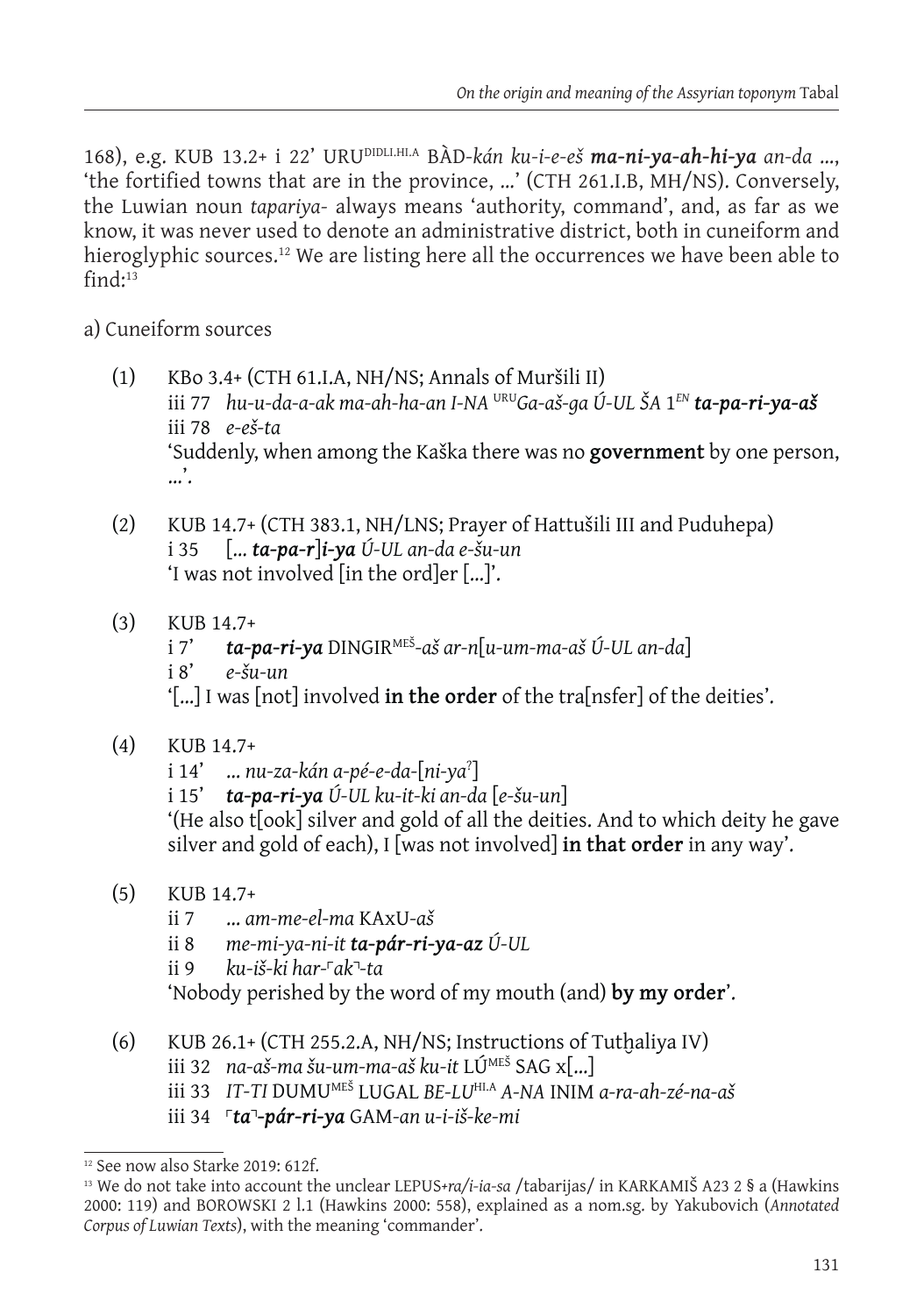168), e.g. KUB 13.2+ i 22' URUDIDLI.HI.A BÀD*-kán ku-i-e-eš ma-ni-ya-ah-hi-ya an-da* …, 'the fortified towns that are in the province, …' (CTH 261.I.B, MH/NS). Conversely, the Luwian noun *tapariya-* always means 'authority, command', and, as far as we know, it was never used to denote an administrative district, both in cuneiform and hieroglyphic sources.<sup>12</sup> We are listing here all the occurrences we have been able to  $find \cdot 13$ 

## a) Cuneiform sources

- (1) KBo 3.4+ (CTH 61.I.A, NH/NS; Annals of Muršili II) iii 77 *hu-u-da-a-ak ma-ah-ha-an I-NA* URU*Ga-aš-ga Ú-UL ŠA* 1*EN ta-pa-ri-ya-aš* iii 78 *e-eš-ta* 'Suddenly, when among the Kaška there was no **government** by one person, …'.
- (2) KUB 14.7+ (CTH 383.1, NH/LNS; Prayer of Hattušili III and Puduhepa) i 35 [… *ta-pa-r*]*i-ya Ú-UL an-da e-šu-un* 'I was not involved [in the ord]er […]'.
- (3) KUB  $14.7+$ <br>i 7' ta-n i 7' *ta-pa-ri-ya* DINGIRMEŠ*-aš ar-n*[*u-um-ma-aš Ú-UL an-da*] i 8' *e-šu-un* '[…] I was [not] involved **in the order** of the tra[nsfer] of the deities'.
- (4) KUB 14.7+
	- i 14' … *nu-za-kán a-pé-e-da-*[*ni-ya*? ]
	- i 15' *ta-pa-ri-ya Ú-UL ku-it-ki an-da* [*e-šu-un*]

'(He also t[ook] silver and gold of all the deities. And to which deity he gave silver and gold of each), I [was not involved] **in that order** in any way'.

- (5) KUB 14.7+
	- ii 7 … *am-me-el-ma* KAxU*-aš*
	- ii 8 *me-mi-ya-ni-it ta-pár-ri-ya-az Ú-UL*
	- ii 9 *ku-iš-ki har-*˹*ak*˺*-ta*

'Nobody perished by the word of my mouth (and) **by my order**'.

- (6) KUB 26.1+ (CTH 255.2.A, NH/NS; Instructions of Tutḫaliya IV)
	- iii 32 *na-aš-ma šu-um-ma-aš ku-it* LÚMEŠ SAG x[…]
	- iii 33 *IT-TI* DUMUMEŠ LUGAL *BE-LU*HI.A *A-NA* INIM *a-ra-ah-zé-na-aš*
	- iii 34 ˹*ta*˺*-pár-ri-ya* GAM*-an u-i-iš-ke-mi*

<sup>12</sup> See now also Starke 2019: 612f.

<sup>13</sup> We do not take into account the unclear LEPUS*+ra/i-ia-sa* /tabarijas/ in KARKAMIŠ A23 2 § a (Hawkins 2000: 119) and BOROWSKI 2 l.1 (Hawkins 2000: 558), explained as a nom.sg. by Yakubovich (*Annotated Corpus of Luwian Texts*), with the meaning 'commander'.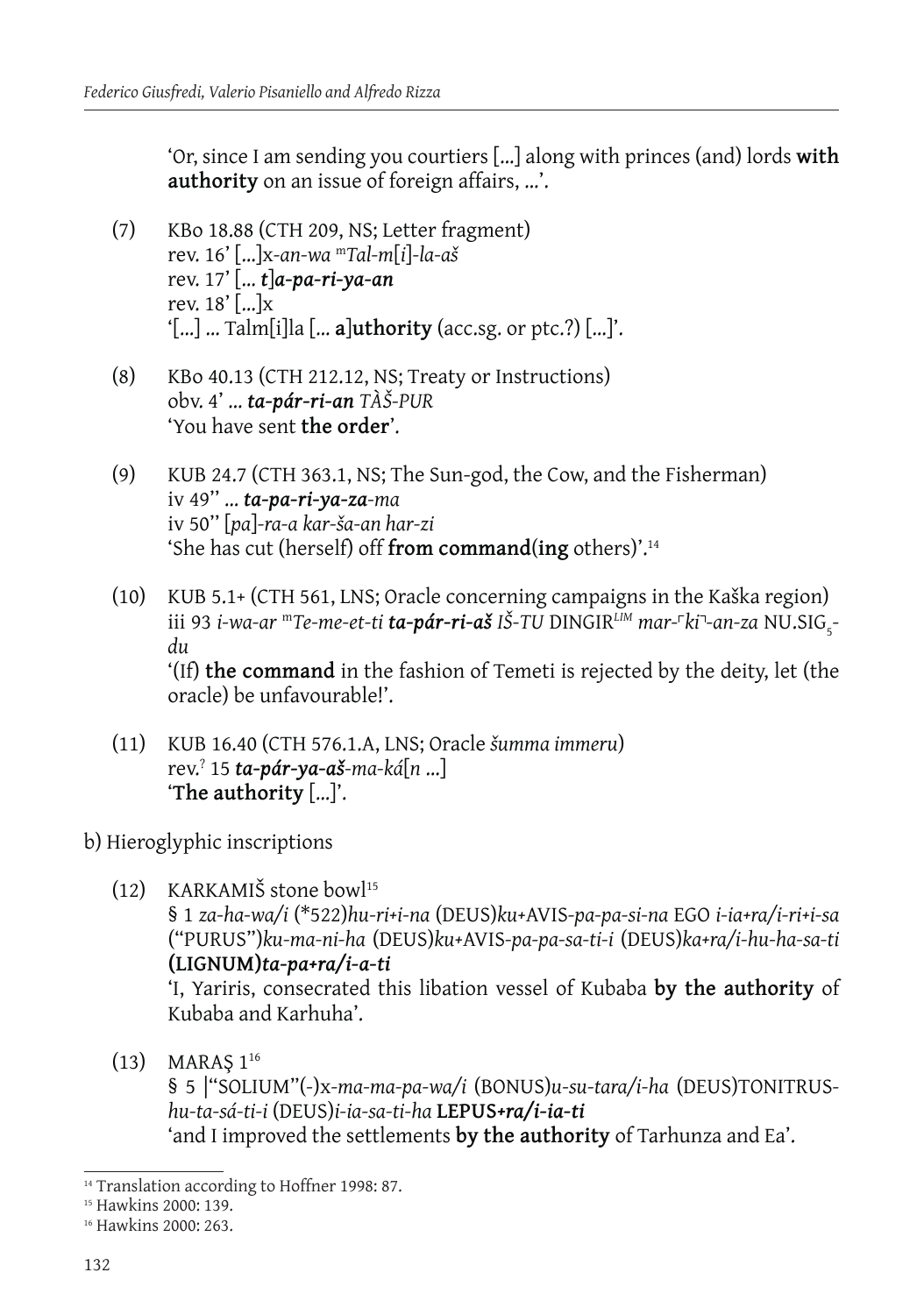'Or, since I am sending you courtiers […] along with princes (and) lords **with authority** on an issue of foreign affairs, …'.

- (7) KBo 18.88 (CTH 209, NS; Letter fragment) rev. 16' […]x*-an-wa* <sup>m</sup>*Tal-m*[*i*]*-la-aš* rev. 17' [… *t*]*a-pa-ri-ya-an* rev.  $18'$  [...] $x$ '[…] … Talm[i]la [… **a**]**uthority** (acc.sg. or ptc.?) […]'.
- (8) KBo 40.13 (CTH 212.12, NS; Treaty or Instructions) obv. 4' … *ta-pár-ri-an TÀŠ-PUR* 'You have sent **the order**'.
- (9) KUB 24.7 (CTH 363.1, NS; The Sun-god, the Cow, and the Fisherman) iv 49'' … *ta-pa-ri-ya-za-ma* iv 50'' [*pa*]*-ra-a kar-ša-an har-zi* 'She has cut (herself) off **from command**(**ing** others)'.14
- (10) KUB 5.1+ (CTH 561, LNS; Oracle concerning campaigns in the Kaška region) iii 93 *i-wa-ar "'Te-me-et-ti ta-pár-ri-aš IŠ-TU DINGIR<sup>LIM</sup> mar-<sup>r</sup>ki''-an-za NU.SIG<sub>5</sub>du* '(If) **the command** in the fashion of Temeti is rejected by the deity, let (the oracle) be unfavourable!'.
- (11) KUB 16.40 (CTH 576.1.A, LNS; Oracle *šumma immeru*) rev.? 15 *ta-pár-ya-aš-ma-ká*[*n* …] '**The authority** […]'.
- b) Hieroglyphic inscriptions
	- (12) KARKAMIŠ stone bowl<sup>15</sup>

§ 1 *za-ha-wa/i* (\*522)*hu-ri+i-na* (DEUS)*ku+*AVIS*-pa-pa-si-na* EGO *i-ia+ra/i-ri+i-sa* ("PURUS")*ku-ma-ni-ha* (DEUS)*ku+*AVIS*-pa-pa-sa-ti-i* (DEUS)*ka+ra/i-hu-ha-sa-ti* **(LIGNUM)***ta-pa+ra/i-a-ti*

'I, Yariris, consecrated this libation vessel of Kubaba **by the authority** of Kubaba and Karhuha'.

 $(13)$  MARAS  $1^{16}$ 

§ 5 |"SOLIUM"(*-*)x*-ma-ma-pa-wa/i* (BONUS)*u-su-tara/i-ha* (DEUS)TONITRUS*hu-ta-sá-ti-i* (DEUS)*i-ia-sa-ti-ha* **LEPUS***+ra/i-ia-ti* 'and I improved the settlements **by the authority** of Tarhunza and Ea'.

<sup>&</sup>lt;sup>14</sup> Translation according to Hoffner 1998: 87.

<sup>15</sup> Hawkins 2000: 139.

<sup>16</sup> Hawkins 2000: 263.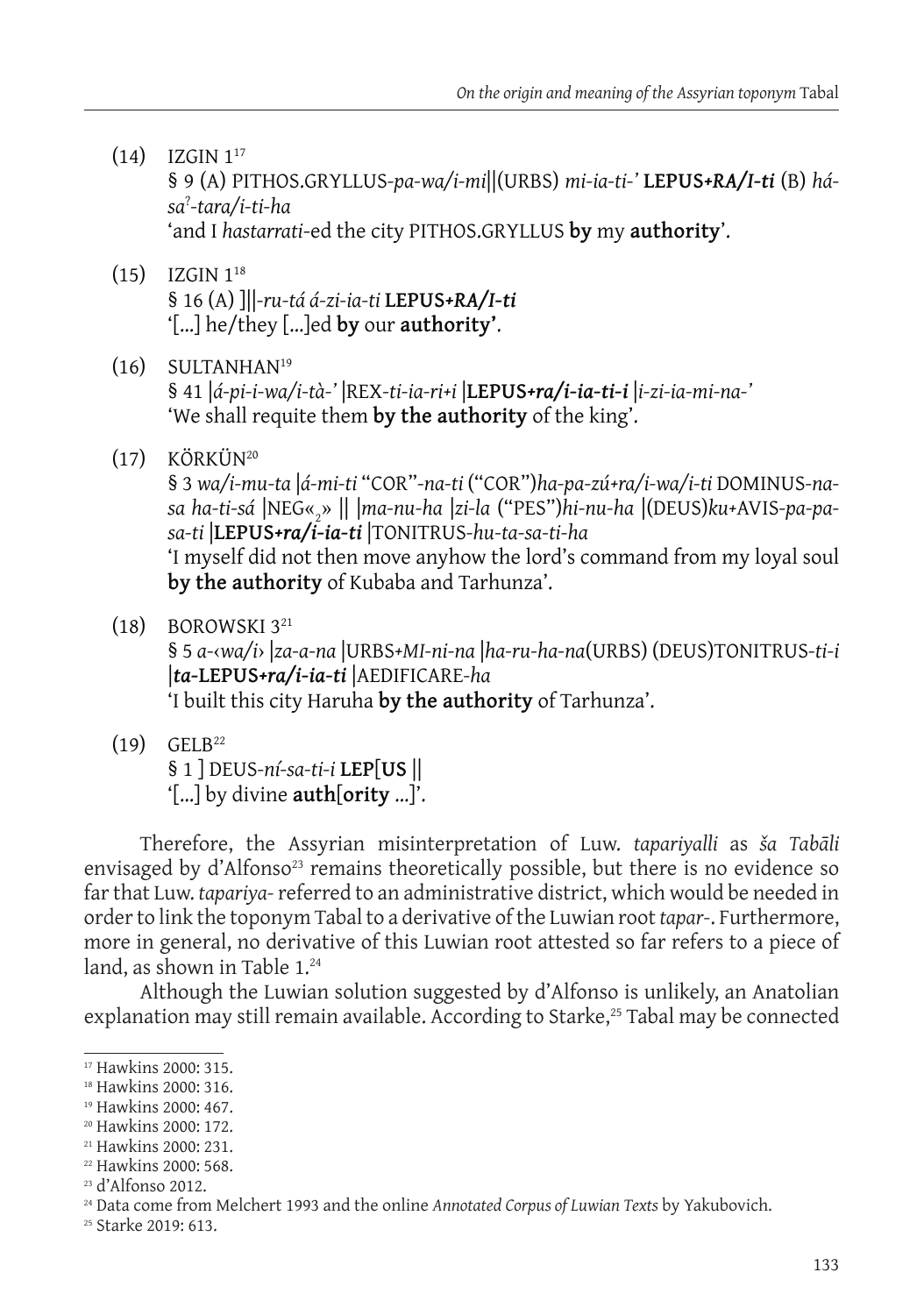- $(14)$  IZGIN  $1^{17}$ § 9 (A) PITHOS.GRYLLUS*-pa-wa/i-mi*||(URBS) *mi-ia-ti-'* **LEPUS***+RA/I-ti* (B) *hása*? *-tara/i-ti-ha* 'and I *hastarrati*-ed the city PITHOS.GRYLLUS **by** my **authority**'.
- (15) IZGIN 118 § 16 (A) ]||*-ru-tá á-zi-ia-ti* **LEPUS***+RA/I-ti* '[…] he/they […]ed **by** our **authority'**.
- (16) SULTANHAN19 § 41 |*á-pi-i-wa/i-tà-'* |REX*-ti-ia-ri+i* |**LEPUS***+ra/i-ia-ti-i* |*i-zi-ia-mi-na-'* 'We shall requite them **by the authority** of the king'.
- (17) KÖRKÜN20

§ 3 *wa/i-mu-ta* |*á-mi-ti* "COR"*-na-ti* ("COR")*ha-pa-zú+ra/i-wa/i-ti* DOMINUS*-nasa ha-ti-sá* |NEG«2 » || |*ma-nu-ha* |*zi-la* ("PES")*hi-nu-ha* |(DEUS)*ku+*AVIS*-pa-pasa-ti* |**LEPUS***+ra/i-ia-ti* |TONITRUS*-hu-ta-sa-ti-ha* 'I myself did not then move anyhow the lord's command from my loyal soul **by the authority** of Kubaba and Tarhunza'.

 $(18)$  BOROWSKI  $3^{21}$ 

§ 5 *a-*‹*wa/i*› |*za-a-na* |URBS*+MI-ni-na* |*ha-ru-ha-na*(URBS) (DEUS)TONITRUS*-ti-i* |*ta-***LEPUS***+ra/i-ia-ti* |AEDIFICARE*-ha* 'I built this city Haruha **by the authority** of Tarhunza'.

 $(19)$  GELB<sup>22</sup>

§ 1 ] DEUS*-ní-sa-ti-i* **LEP**[**US** || '[…] by divine **auth**[**ority** …]'.

Therefore, the Assyrian misinterpretation of Luw. *tapariyalli* as *ša Tabāli*  envisaged by d'Alfonso<sup>23</sup> remains theoretically possible, but there is no evidence so far that Luw. *tapariya-* referred to an administrative district, which would be needed in order to link the toponym Tabal to a derivative of the Luwian root *tapar-*. Furthermore, more in general, no derivative of this Luwian root attested so far refers to a piece of land, as shown in Table 1.24

Although the Luwian solution suggested by d'Alfonso is unlikely, an Anatolian explanation may still remain available. According to Starke,<sup>25</sup> Tabal may be connected

<sup>17</sup> Hawkins 2000: 315.

<sup>18</sup> Hawkins 2000: 316.

<sup>&</sup>lt;sup>19</sup> Hawkins 2000: 467.

<sup>20</sup> Hawkins 2000: 172.

<sup>21</sup> Hawkins 2000: 231.

<sup>22</sup> Hawkins 2000: 568.

<sup>23</sup> d'Alfonso 2012.

<sup>24</sup> Data come from Melchert 1993 and the online *Annotated Corpus of Luwian Texts* by Yakubovich.

<sup>25</sup> Starke 2019: 613.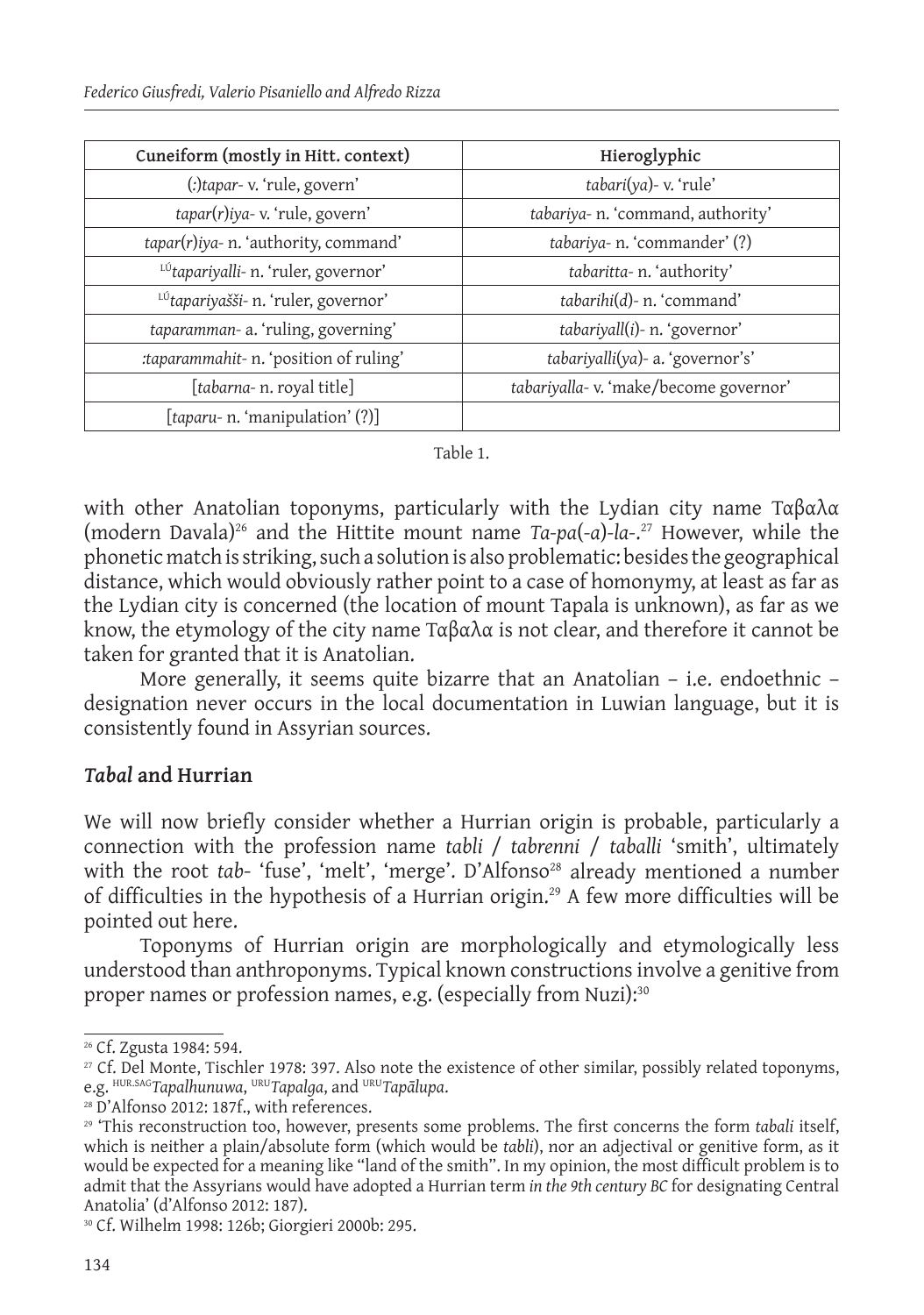| Cuneiform (mostly in Hitt. context)    | Hieroglyphic                          |
|----------------------------------------|---------------------------------------|
| (:)tapar-v. 'rule, govern'             | tabari(ya)- v. 'rule'                 |
| tapar(r)iya-v. 'rule, govern'          | tabariya- n. 'command, authority'     |
| tapar(r)iya- n. 'authority, command'   | tabariya- n. 'commander' (?)          |
| LÚtapariyalli- n. 'ruler, governor'    | tabaritta- n. 'authority'             |
| LÚtapariyašši- n. 'ruler, governor'    | tabarihi(d)- n. 'command'             |
| taparamman-a. 'ruling, governing'      | tabariyall(i)- n. 'governor'          |
| :taparammahit- n. 'position of ruling' | tabariyalli(ya)- a. 'governor's'      |
| [tabarna- n. royal title]              | tabariyalla-v. 'make/become governor' |
| [taparu- n. 'manipulation' (?)]        |                                       |

#### Table 1.

with other Anatolian toponyms, particularly with the Lydian city name Ταβαλα (modern Davala)26 and the Hittite mount name *Ta-pa*(*-a*)*-la-*. 27 However, while the phonetic match is striking, such a solution is also problematic: besides the geographical distance, which would obviously rather point to a case of homonymy, at least as far as the Lydian city is concerned (the location of mount Tapala is unknown), as far as we know, the etymology of the city name  $T\alpha\beta\alpha\lambda\alpha$  is not clear, and therefore it cannot be taken for granted that it is Anatolian.

More generally, it seems quite bizarre that an Anatolian – i.e. endoethnic – designation never occurs in the local documentation in Luwian language, but it is consistently found in Assyrian sources.

#### *Tabal* **and Hurrian**

We will now briefly consider whether a Hurrian origin is probable, particularly a connection with the profession name *tabli* / *tabrenni* / *taballi* 'smith', ultimately with the root *tab*- 'fuse', 'melt', 'merge'. D'Alfonso<sup>28</sup> already mentioned a number of difficulties in the hypothesis of a Hurrian origin.29 A few more difficulties will be pointed out here.

Toponyms of Hurrian origin are morphologically and etymologically less understood than anthroponyms. Typical known constructions involve a genitive from proper names or profession names, e.g. (especially from Nuzi):<sup>30</sup>

<sup>26</sup> Cf. Zgusta 1984: 594.

<sup>27</sup> Cf. Del Monte, Tischler 1978: 397. Also note the existence of other similar, possibly related toponyms, e.g. HUR.SAG*Tapalhunuwa*, URU*Tapalga*, and URU*Tapālupa*.

<sup>&</sup>lt;sup>28</sup> D'Alfonso 2012: 187f., with references.

<sup>29 &#</sup>x27;This reconstruction too, however, presents some problems. The first concerns the form *tabali* itself, which is neither a plain/absolute form (which would be *tabli*), nor an adjectival or genitive form, as it would be expected for a meaning like "land of the smith". In my opinion, the most difficult problem is to admit that the Assyrians would have adopted a Hurrian term *in the 9th century BC* for designating Central Anatolia' (d'Alfonso 2012: 187).

<sup>30</sup> Cf. Wilhelm 1998: 126b; Giorgieri 2000b: 295.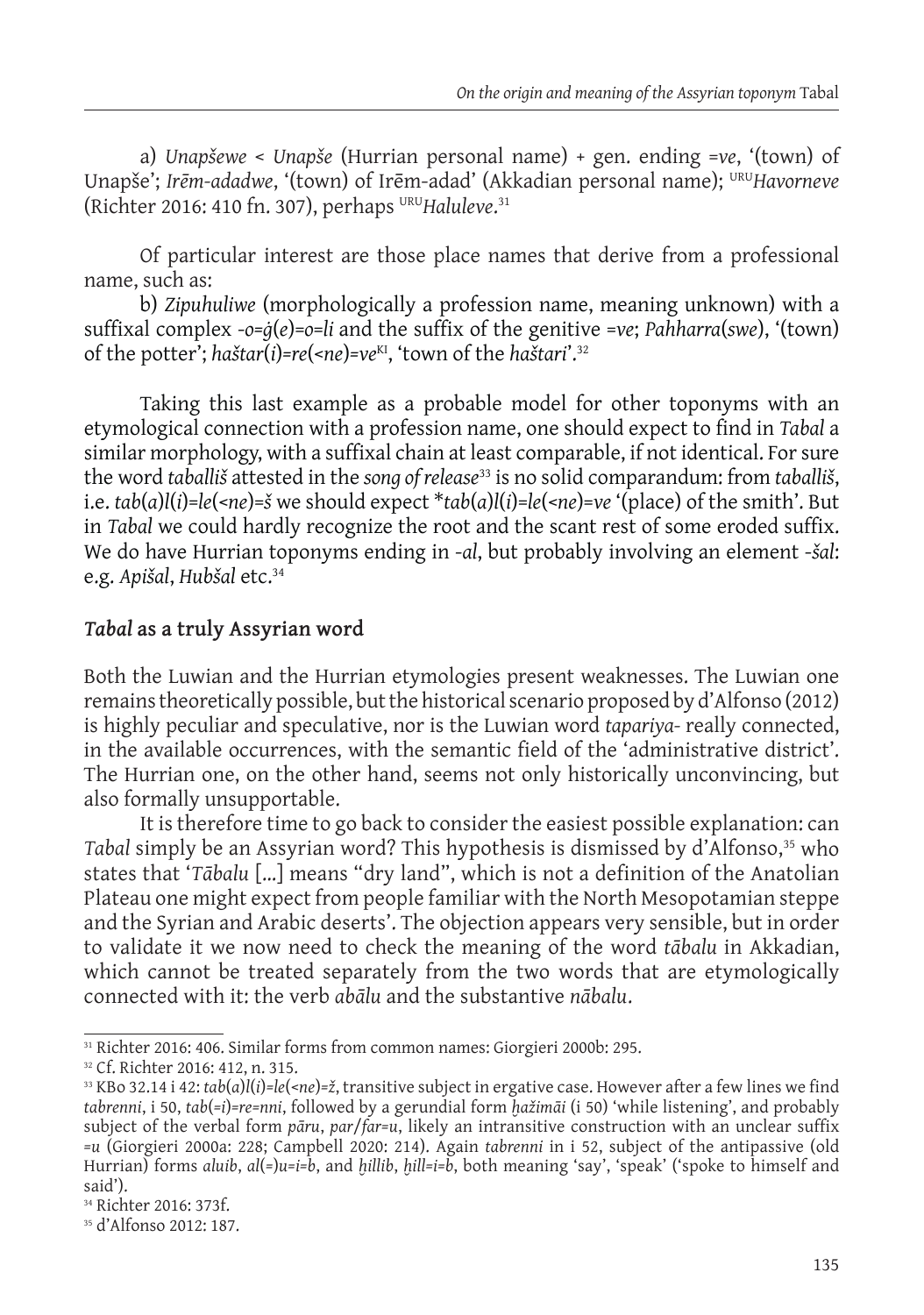a) *Unapšewe* < *Unapše* (Hurrian personal name) + gen. ending =*ve*, '(town) of Unapše'; *Irēm-adadwe*, '(town) of Irēm-adad' (Akkadian personal name); URU*Havorneve* (Richter 2016: 410 fn. 307), perhaps <sup>uru</sup>Haluleve.<sup>31</sup>

Of particular interest are those place names that derive from a professional name, such as:

b) *Zipuhuliwe* (morphologically a profession name, meaning unknown) with a suffixal complex -*o=ġ*(*e*)=*o*=*li* and the suffix of the genitive =*ve*; *Pahharra*(*swe*), '(town) of the potter'; *haštar*(*i*)*=re*(<*ne*)*=ve*KI, 'town of the *haštari*'.32

Taking this last example as a probable model for other toponyms with an etymological connection with a profession name, one should expect to find in *Tabal* a similar morphology, with a suffixal chain at least comparable, if not identical. For sure the word *taballiš* attested in the *song of release*33 is no solid comparandum: from *taballiš*, i.e. *tab*(*a*)*l*(*i*)=*le*(<*ne*)=*š* we should expect \**tab*(*a*)*l*(*i*)=*le*(<*ne*)=*ve* '(place) of the smith'. But in *Tabal* we could hardly recognize the root and the scant rest of some eroded suffix. We do have Hurrian toponyms ending in -*al*, but probably involving an element -*šal*: e.g. *Apišal*, *Hubšal* etc.34

# *Tabal* **as a truly Assyrian word**

Both the Luwian and the Hurrian etymologies present weaknesses. The Luwian one remains theoretically possible, but the historical scenario proposed by d'Alfonso (2012) is highly peculiar and speculative, nor is the Luwian word *tapariya-* really connected, in the available occurrences, with the semantic field of the 'administrative district'. The Hurrian one, on the other hand, seems not only historically unconvincing, but also formally unsupportable.

It is therefore time to go back to consider the easiest possible explanation: can Tabal simply be an Assyrian word? This hypothesis is dismissed by d'Alfonso,<sup>35</sup> who states that '*Tābalu* […] means "dry land", which is not a definition of the Anatolian Plateau one might expect from people familiar with the North Mesopotamian steppe and the Syrian and Arabic deserts'. The objection appears very sensible, but in order to validate it we now need to check the meaning of the word *tābalu* in Akkadian, which cannot be treated separately from the two words that are etymologically connected with it: the verb *abālu* and the substantive *nābalu*.

<sup>31</sup> Richter 2016: 406. Similar forms from common names: Giorgieri 2000b: 295.

<sup>32</sup> Cf. Richter 2016: 412, n. 315.

<sup>33</sup> KBo 32.14 i 42: *tab*(*a*)*l*(*i*)*=le*(<*ne*)*=ž*, transitive subject in ergative case. However after a few lines we find *tabrenni*, i 50, *tab*(*=i*)*=re=nni*, followed by a gerundial form *ḫažimāi* (i 50) 'while listening', and probably subject of the verbal form *pāru*, *par*/*far=u*, likely an intransitive construction with an unclear suffix *=u* (Giorgieri 2000a: 228; Campbell 2020: 214). Again *tabrenni* in i 52, subject of the antipassive (old Hurrian) forms *aluib*, *al*(*=*)*u=i=b*, and *ḫillib*, *ḫill=i=b*, both meaning 'say', 'speak' ('spoke to himself and said').

<sup>34</sup> Richter 2016: 373f.

<sup>35</sup> d'Alfonso 2012: 187.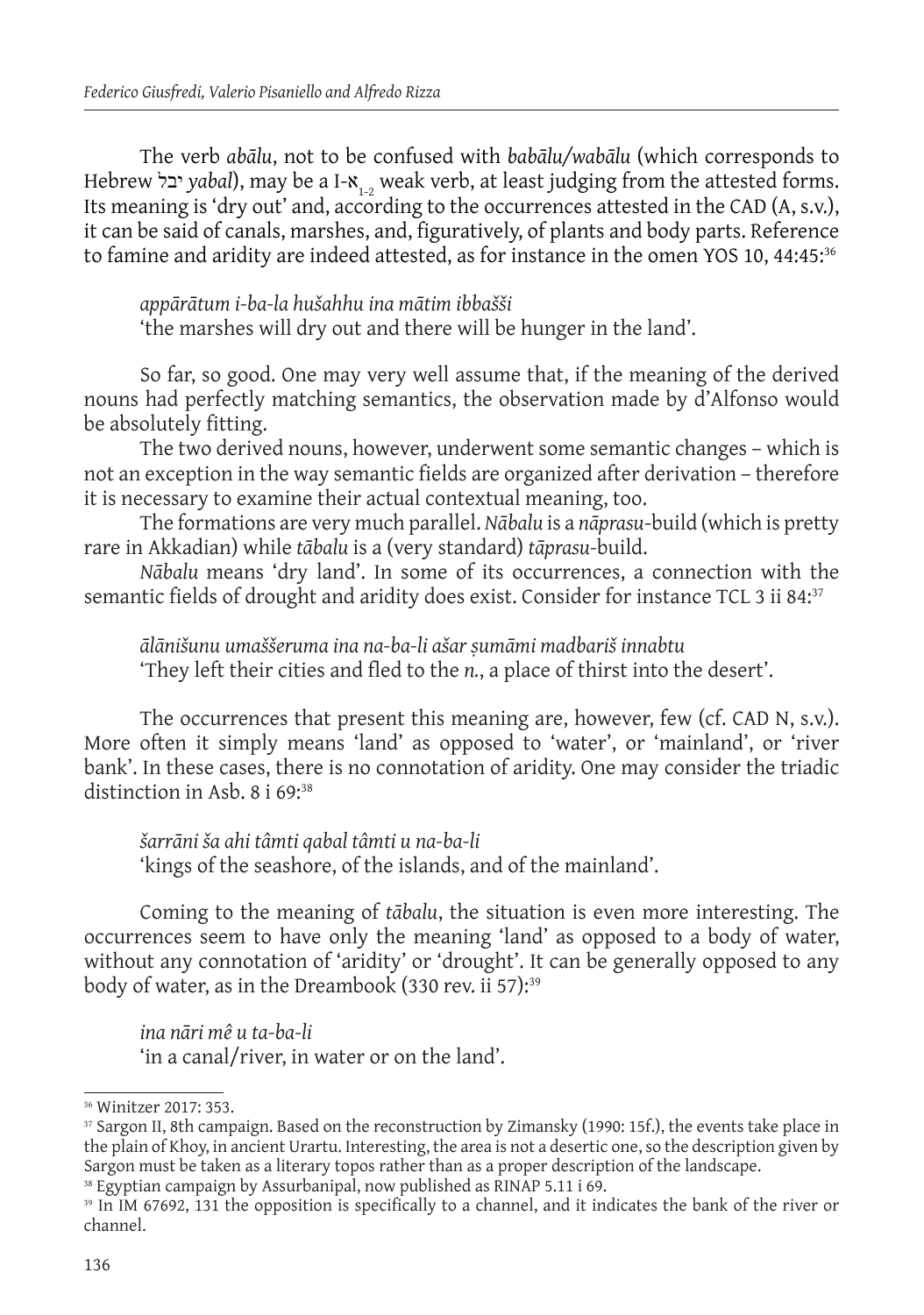The verb *abālu*, not to be confused with *babālu/wabālu* (which corresponds to Hebrew יבל *yabal*), may be a I-א1-2 weak verb, at least judging from the attested forms. Its meaning is 'dry out' and, according to the occurrences attested in the CAD (A, s.v.), it can be said of canals, marshes, and, figuratively, of plants and body parts. Reference to famine and aridity are indeed attested, as for instance in the omen YOS 10, 44:45:36

*appārātum i-ba-la hušahhu ina mātim ibbašši* 'the marshes will dry out and there will be hunger in the land'.

So far, so good. One may very well assume that, if the meaning of the derived nouns had perfectly matching semantics, the observation made by d'Alfonso would be absolutely fitting.

The two derived nouns, however, underwent some semantic changes – which is not an exception in the way semantic fields are organized after derivation – therefore it is necessary to examine their actual contextual meaning, too.

The formations are very much parallel. *Nābalu* is a *nāprasu*-build (which is pretty rare in Akkadian) while *tābalu* is a (very standard) *tāprasu-*build.

*Nābalu* means 'dry land'. In some of its occurrences, a connection with the semantic fields of drought and aridity does exist. Consider for instance TCL 3 ii 84.37

*ālānišunu umaššeruma ina na-ba-li ašar ṣumāmi madbariš innabtu* 'They left their cities and fled to the *n.*, a place of thirst into the desert'.

The occurrences that present this meaning are, however, few (cf. CAD N, s.v.). More often it simply means 'land' as opposed to 'water', or 'mainland', or 'river bank'. In these cases, there is no connotation of aridity. One may consider the triadic distinction in Asb. 8 i 69:<sup>38</sup>

*šarrāni ša ahi tâmti qabal tâmti u na-ba-li* 'kings of the seashore, of the islands, and of the mainland'.

Coming to the meaning of *tābalu*, the situation is even more interesting. The occurrences seem to have only the meaning 'land' as opposed to a body of water, without any connotation of 'aridity' or 'drought'. It can be generally opposed to any body of water, as in the Dreambook (330 rev. ii 57):<sup>39</sup>

*ina nāri mê u ta-ba-li* 'in a canal/river, in water or on the land'.

<sup>38</sup> Egyptian campaign by Assurbanipal, now published as RINAP 5.11 i 69.

<sup>36</sup>Winitzer 2017: 353.

<sup>37</sup> Sargon II, 8th campaign. Based on the reconstruction by Zimansky (1990: 15f.), the events take place in the plain of Khoy, in ancient Urartu. Interesting, the area is not a desertic one, so the description given by Sargon must be taken as a literary topos rather than as a proper description of the landscape.

<sup>39</sup> In IM 67692, 131 the opposition is specifically to a channel, and it indicates the bank of the river or channel.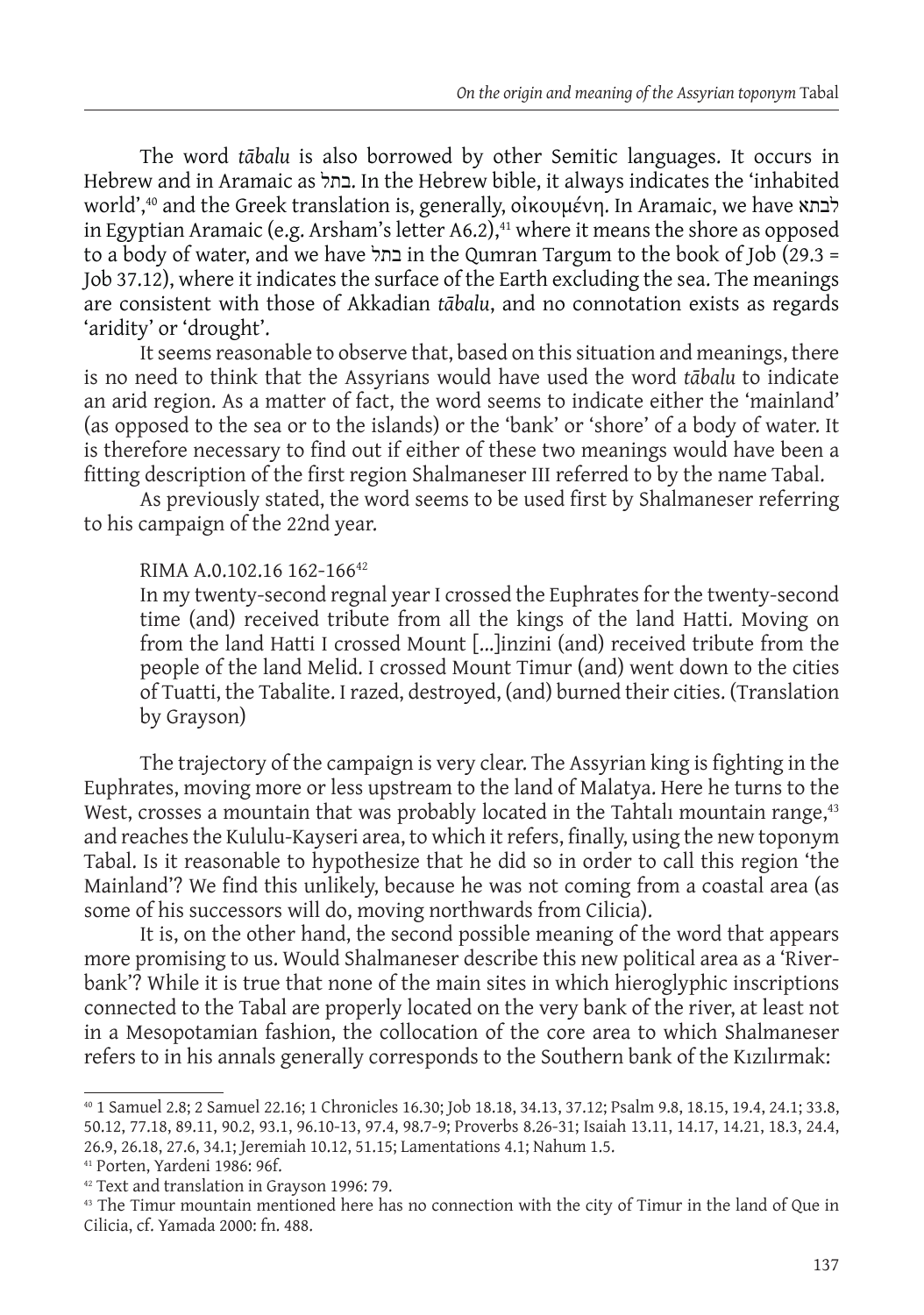The word *tābalu* is also borrowed by other Semitic languages. It occurs in Hebrew and in Aramaic as בתל. In the Hebrew bible, it always indicates the 'inhabited world',40 and the Greek translation is, generally, οἰκουμένη. In Aramaic, we have לבתא in Egyptian Aramaic (e.g. Arsham's letter A6.2), $41$  where it means the shore as opposed to a body of water, and we have בתל in the Qumran Targum to the book of Job (29.3 = Job 37.12), where it indicates the surface of the Earth excluding the sea. The meanings are consistent with those of Akkadian *tābalu*, and no connotation exists as regards 'aridity' or 'drought'.

It seems reasonable to observe that, based on this situation and meanings, there is no need to think that the Assyrians would have used the word *tābalu* to indicate an arid region. As a matter of fact, the word seems to indicate either the 'mainland' (as opposed to the sea or to the islands) or the 'bank' or 'shore' of a body of water. It is therefore necessary to find out if either of these two meanings would have been a fitting description of the first region Shalmaneser III referred to by the name Tabal.

As previously stated, the word seems to be used first by Shalmaneser referring to his campaign of the 22nd year.

### RIMA A.0.102.16 162-16642

In my twenty-second regnal year I crossed the Euphrates for the twenty-second time (and) received tribute from all the kings of the land Hatti. Moving on from the land Hatti I crossed Mount [...]inzini (and) received tribute from the people of the land Melid. I crossed Mount Timur (and) went down to the cities of Tuatti, the Tabalite. I razed, destroyed, (and) burned their cities. (Translation by Grayson)

The trajectory of the campaign is very clear. The Assyrian king is fighting in the Euphrates, moving more or less upstream to the land of Malatya. Here he turns to the West, crosses a mountain that was probably located in the Tahtalı mountain range,<sup>43</sup> and reaches the Kululu-Kayseri area, to which it refers, finally, using the new toponym Tabal. Is it reasonable to hypothesize that he did so in order to call this region 'the Mainland'? We find this unlikely, because he was not coming from a coastal area (as some of his successors will do, moving northwards from Cilicia).

It is, on the other hand, the second possible meaning of the word that appears more promising to us. Would Shalmaneser describe this new political area as a 'Riverbank'? While it is true that none of the main sites in which hieroglyphic inscriptions connected to the Tabal are properly located on the very bank of the river, at least not in a Mesopotamian fashion, the collocation of the core area to which Shalmaneser refers to in his annals generally corresponds to the Southern bank of the Kızılırmak:

41 Porten, Yardeni 1986: 96f.

<sup>40 1</sup> Samuel 2.8; 2 Samuel 22.16; 1 Chronicles 16.30; Job 18.18, 34.13, 37.12; Psalm 9.8, 18.15, 19.4, 24.1; 33.8, 50.12, 77.18, 89.11, 90.2, 93.1, 96.10-13, 97.4, 98.7-9; Proverbs 8.26-31; Isaiah 13.11, 14.17, 14.21, 18.3, 24.4, 26.9, 26.18, 27.6, 34.1; Jeremiah 10.12, 51.15; Lamentations 4.1; Nahum 1.5.

<sup>42</sup> Text and translation in Grayson 1996: 79.

<sup>&</sup>lt;sup>43</sup> The Timur mountain mentioned here has no connection with the city of Timur in the land of Que in Cilicia, cf. Yamada 2000: fn. 488.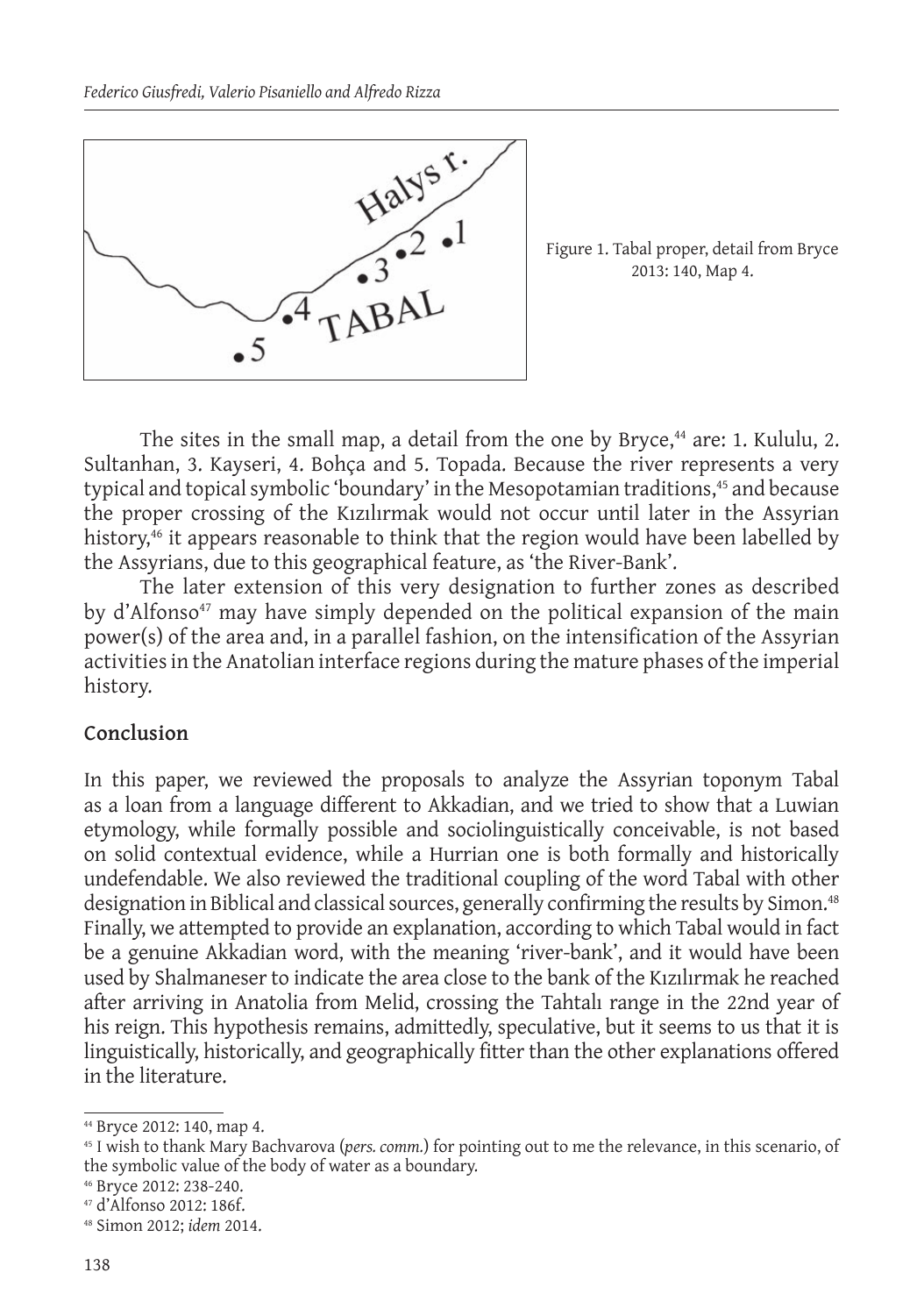

Figure 1. Tabal proper, detail from Bryce 2013: 140, Map 4.

The sites in the small map, a detail from the one by Bryce, $44$  are: 1. Kululu, 2. Sultanhan, 3. Kayseri, 4. Bohça and 5. Topada. Because the river represents a very typical and topical symbolic 'boundary' in the Mesopotamian traditions,<sup>45</sup> and because the proper crossing of the Kızılırmak would not occur until later in the Assyrian history,<sup>46</sup> it appears reasonable to think that the region would have been labelled by the Assyrians, due to this geographical feature, as 'the River-Bank'.

The later extension of this very designation to further zones as described by d'Alfonso<sup>47</sup> may have simply depended on the political expansion of the main power(s) of the area and, in a parallel fashion, on the intensification of the Assyrian activities in the Anatolian interface regions during the mature phases of the imperial history.

## **Conclusion**

In this paper, we reviewed the proposals to analyze the Assyrian toponym Tabal as a loan from a language different to Akkadian, and we tried to show that a Luwian etymology, while formally possible and sociolinguistically conceivable, is not based on solid contextual evidence, while a Hurrian one is both formally and historically undefendable. We also reviewed the traditional coupling of the word Tabal with other designation in Biblical and classical sources, generally confirming the results by Simon.<sup>48</sup> Finally, we attempted to provide an explanation, according to which Tabal would in fact be a genuine Akkadian word, with the meaning 'river-bank', and it would have been used by Shalmaneser to indicate the area close to the bank of the Kızılırmak he reached after arriving in Anatolia from Melid, crossing the Tahtalı range in the 22nd year of his reign. This hypothesis remains, admittedly, speculative, but it seems to us that it is linguistically, historically, and geographically fitter than the other explanations offered in the literature.

<sup>44</sup> Bryce 2012: 140, map 4.

<sup>45</sup> I wish to thank Mary Bachvarova (*pers. comm.*) for pointing out to me the relevance, in this scenario, of the symbolic value of the body of water as a boundary.

<sup>46</sup> Bryce 2012: 238-240.

<sup>47</sup> d'Alfonso 2012: 186f.

<sup>48</sup> Simon 2012; *idem* 2014.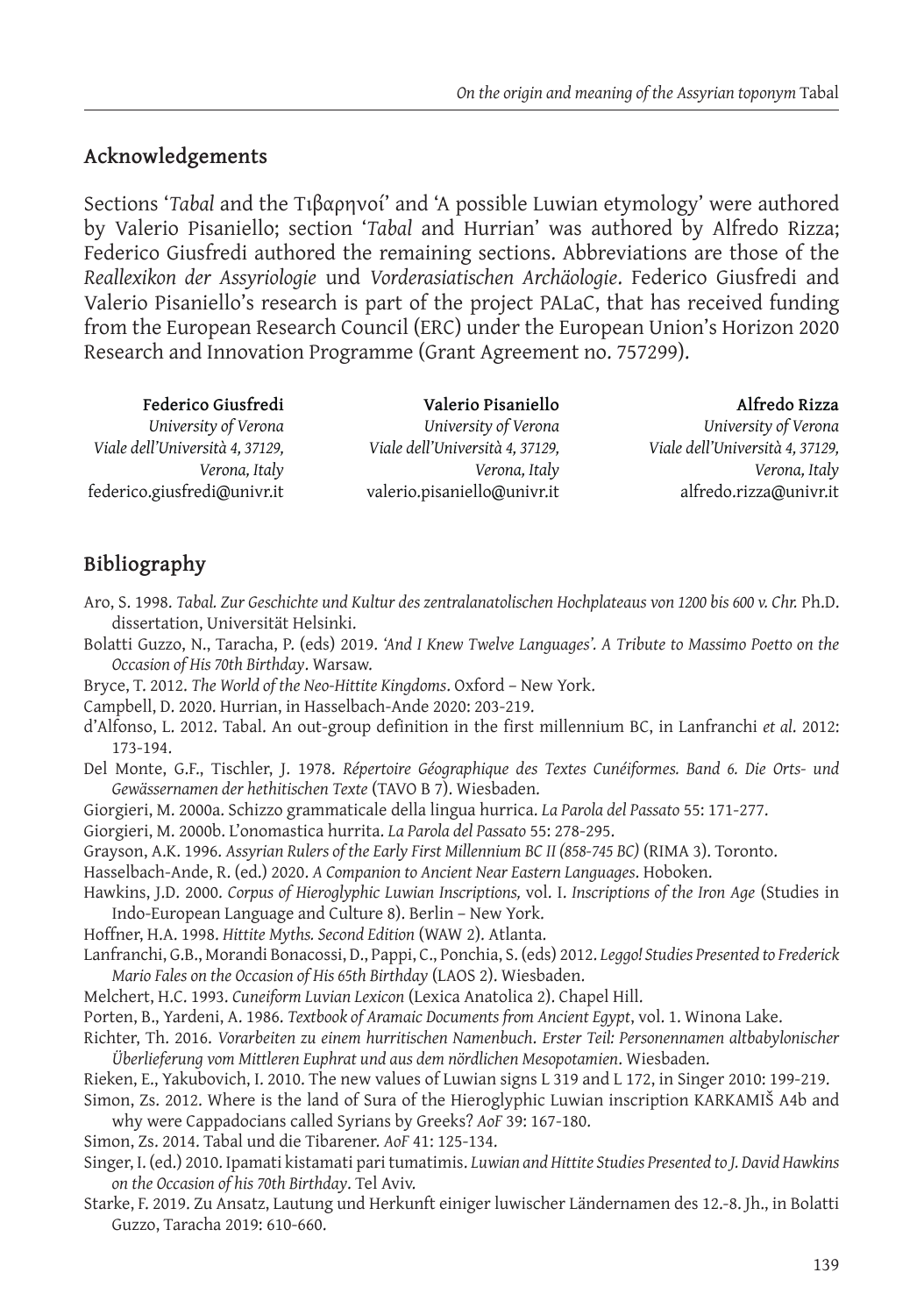# **Acknowledgements**

Sections '*Tabal* and the Τιβαρηνοί' and 'A possible Luwian etymology' were authored by Valerio Pisaniello; section '*Tabal* and Hurrian' was authored by Alfredo Rizza; Federico Giusfredi authored the remaining sections. Abbreviations are those of the *Reallexikon der Assyriologie* und *Vorderasiatischen Archäologie*. Federico Giusfredi and Valerio Pisaniello's research is part of the project PALaC, that has received funding from the European Research Council (ERC) under the European Union's Horizon 2020 Research and Innovation Programme (Grant Agreement no. 757299).

**Federico Giusfredi** *University of Verona Viale dell'Università 4, 37129, Verona, Italy* federico.giusfredi@univr.it **Valerio Pisaniello** *University of Verona Viale dell'Università 4, 37129, Verona, Italy* valerio.pisaniello@univr.it

**Alfredo Rizza** *University of Verona Viale dell'Università 4, 37129, Verona, Italy* alfredo.rizza@univr.it

# **Bibliography**

- Aro, S. 1998. *Tabal. Zur Geschichte und Kultur des zentralanatolischen Hochplateaus von 1200 bis 600 v. Chr.* Ph.D. dissertation, Universität Helsinki.
- Bolatti Guzzo, N., Taracha, P. (eds) 2019. *'And I Knew Twelve Languages'. A Tribute to Massimo Poetto on the Occasion of His 70th Birthday*. Warsaw.
- Bryce, T. 2012. *The World of the Neo-Hittite Kingdoms*. Oxford New York.
- Campbell, D. 2020. Hurrian, in Hasselbach-Ande 2020: 203-219.
- d'Alfonso, L. 2012. Tabal. An out-group definition in the first millennium BC, in Lanfranchi *et al*. 2012: 173-194.
- Del Monte, G.F., Tischler, J. 1978. *Répertoire Géographique des Textes Cunéiformes. Band 6. Die Orts- und Gewässernamen der hethitischen Texte* (TAVO B 7). Wiesbaden.
- Giorgieri, M. 2000a. Schizzo grammaticale della lingua hurrica. *La Parola del Passato* 55: 171-277.

Giorgieri, M. 2000b. L'onomastica hurrita. *La Parola del Passato* 55: 278-295.

- Grayson, A.K. 1996. *Assyrian Rulers of the Early First Millennium BC II (858-745 BC)* (RIMA 3). Toronto.
- Hasselbach-Ande, R. (ed.) 2020. *A Companion to Ancient Near Eastern Languages*. Hoboken.
- Hawkins, J.D. 2000. *Corpus of Hieroglyphic Luwian Inscriptions,* vol. I. *Inscriptions of the Iron Age* (Studies in Indo-European Language and Culture 8). Berlin – New York.
- Hoffner, H.A. 1998. *Hittite Myths. Second Edition* (WAW 2). Atlanta.
- Lanfranchi, G.B., Morandi Bonacossi, D., Pappi, C., Ponchia, S. (eds) 2012. *Leggo! Studies Presented to Frederick Mario Fales on the Occasion of His 65th Birthday* (LAOS 2). Wiesbaden.
- Melchert, H.C. 1993. *Cuneiform Luvian Lexicon* (Lexica Anatolica 2). Chapel Hill.
- Porten, B., Yardeni, A. 1986. *Textbook of Aramaic Documents from Ancient Egypt*, vol. 1. Winona Lake.
- Richter, Th. 2016. *Vorarbeiten zu einem hurritischen Namenbuch*. *Erster Teil: Personennamen altbabylonischer Überlieferung vom Mittleren Euphrat und aus dem nördlichen Mesopotamien*. Wiesbaden.
- Rieken, E., Yakubovich, I. 2010. The new values of Luwian signs L 319 and L 172, in Singer 2010: 199-219.
- Simon, Zs. 2012. Where is the land of Sura of the Hieroglyphic Luwian inscription KARKAMIŠ A4b and why were Cappadocians called Syrians by Greeks? *AoF* 39: 167-180.
- Simon, Zs. 2014. Tabal und die Tibarener. *AoF* 41: 125-134.
- Singer, I. (ed.) 2010. Ipamati kistamati pari tumatimis. *Luwian and Hittite Studies Presented to J. David Hawkins on the Occasion of his 70th Birthday*. Tel Aviv.
- Starke, F. 2019. Zu Ansatz, Lautung und Herkunft einiger luwischer Ländernamen des 12.-8. Jh., in Bolatti Guzzo, Taracha 2019: 610-660.